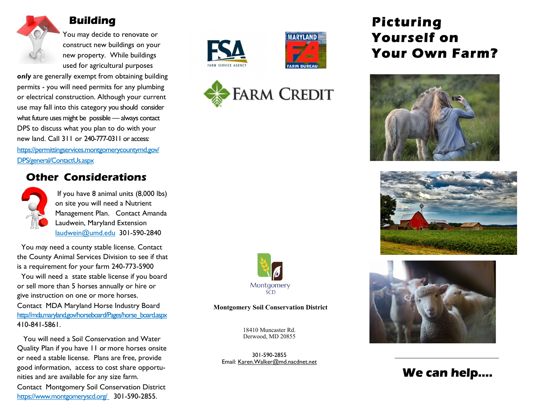

## Building

You may decide to renovate or construct new buildings on your new property. While buildings used for agricultural purposes

only are generally exempt from obtaining building permits - you will need permits for any plumbing or electrical construction. Although your current use may fall into this category you should consider what future uses might be possible — always contact DPS to discuss what you plan to do with your new land. Call 311 or 240-777-0311 or access: https://permittingservices.montgomerycountymd.gov/ DPS/general/ContactUs.aspx

### Other Considerations



If you have 8 animal units (8,000 lbs) on site you will need a Nutrient Management Plan. Contact Amanda Laudwein, Maryland Extension laudwein@umd.edu 301-590-2840

 You may need a county stable license. Contact the County Animal Services Division to see if that is a requirement for your farm 240-773-5900 You will need a state stable license if you board

or sell more than 5 horses annually or hire or give instruction on one or more horses. Contact MDA Maryland Horse Industry Board http://mda.maryland.gov/horseboard/Pages/horse\_board.aspx 410-841-5861.

 You will need a Soil Conservation and Water Quality Plan if you have 11 or more horses onsite or need a stable license. Plans are free, provide good information, access to cost share opportunities and are available for any size farm. Contact Montgomery Soil Conservation District https://www.montgomeryscd.org/ 301-590-2855.







# Picturing Yourself on Your Own Farm?







## We can help….



#### Montgomery Soil Conservation District

18410 Muncaster Rd. Derwood, MD 20855

301-590-2855 Email: Karen.Walker@md.nacdnet.net